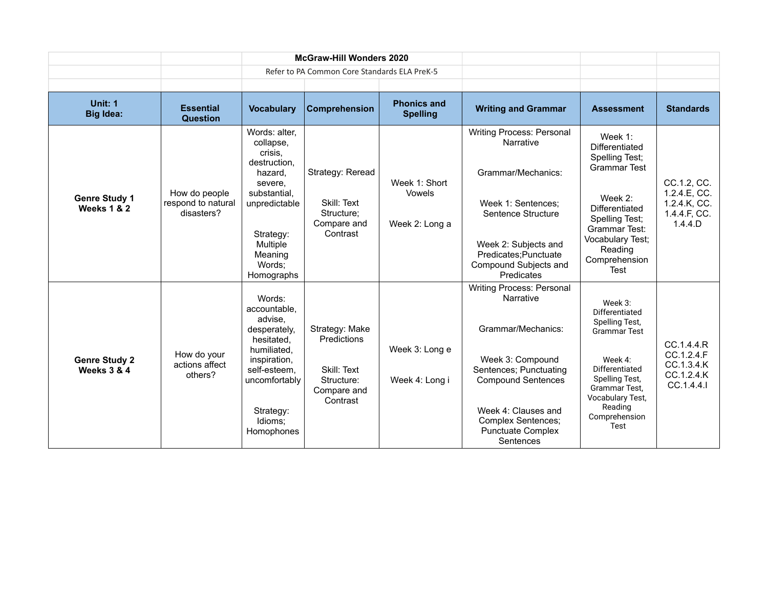|                                                |                                                   | <b>McGraw-Hill Wonders 2020</b>                                                                                                                                          |                                                                                              |                                           |                                                                                                                                                                                                                                      |                                                                                                                                                                                               |                                                                        |
|------------------------------------------------|---------------------------------------------------|--------------------------------------------------------------------------------------------------------------------------------------------------------------------------|----------------------------------------------------------------------------------------------|-------------------------------------------|--------------------------------------------------------------------------------------------------------------------------------------------------------------------------------------------------------------------------------------|-----------------------------------------------------------------------------------------------------------------------------------------------------------------------------------------------|------------------------------------------------------------------------|
|                                                |                                                   |                                                                                                                                                                          | Refer to PA Common Core Standards ELA PreK-5                                                 |                                           |                                                                                                                                                                                                                                      |                                                                                                                                                                                               |                                                                        |
|                                                |                                                   |                                                                                                                                                                          |                                                                                              |                                           |                                                                                                                                                                                                                                      |                                                                                                                                                                                               |                                                                        |
| Unit: 1<br><b>Big Idea:</b>                    | <b>Essential</b><br><b>Question</b>               | <b>Vocabulary</b>                                                                                                                                                        | Comprehension                                                                                | <b>Phonics and</b><br><b>Spelling</b>     | <b>Writing and Grammar</b>                                                                                                                                                                                                           | <b>Assessment</b>                                                                                                                                                                             | <b>Standards</b>                                                       |
| <b>Genre Study 1</b><br><b>Weeks 1 &amp; 2</b> | How do people<br>respond to natural<br>disasters? | Words: alter,<br>collapse,<br>crisis.<br>destruction,<br>hazard,<br>severe.<br>substantial,<br>unpredictable<br>Strategy:<br>Multiple<br>Meaning<br>Words;<br>Homographs | Strategy: Reread<br>Skill: Text<br>Structure;<br>Compare and<br>Contrast                     | Week 1: Short<br>Vowels<br>Week 2: Long a | <b>Writing Process: Personal</b><br>Narrative<br>Grammar/Mechanics:<br>Week 1: Sentences:<br>Sentence Structure<br>Week 2: Subjects and<br>Predicates; Punctuate<br>Compound Subjects and<br>Predicates                              | Week $1$ :<br>Differentiated<br>Spelling Test;<br><b>Grammar Test</b><br>Week 2:<br>Differentiated<br>Spelling Test;<br>Grammar Test:<br>Vocabulary Test;<br>Reading<br>Comprehension<br>Test | CC.1.2, CC.<br>1.2.4.E, CC.<br>1.2.4.K, CC.<br>1.4.4.F, CC.<br>1.4.4.D |
| <b>Genre Study 2</b><br><b>Weeks 3 &amp; 4</b> | How do your<br>actions affect<br>others?          | Words:<br>accountable.<br>advise,<br>desperately,<br>hesitated,<br>humiliated.<br>inspiration,<br>self-esteem,<br>uncomfortably<br>Strategy:<br>Idioms;<br>Homophones    | Strategy: Make<br><b>Predictions</b><br>Skill: Text<br>Structure:<br>Compare and<br>Contrast | Week 3: Long e<br>Week 4: Long i          | Writing Process: Personal<br>Narrative<br>Grammar/Mechanics:<br>Week 3: Compound<br>Sentences; Punctuating<br><b>Compound Sentences</b><br>Week 4: Clauses and<br><b>Complex Sentences;</b><br><b>Punctuate Complex</b><br>Sentences | Week 3:<br>Differentiated<br>Spelling Test,<br><b>Grammar Test</b><br>Week 4:<br>Differentiated<br>Spelling Test,<br>Grammar Test.<br>Vocabulary Test,<br>Reading<br>Comprehension<br>Test    | CC.1.4.4.R<br>CC.1.2.4.F<br>CC.1.3.4.K<br>CC.1.2.4.K<br>CC.1.4.4.1     |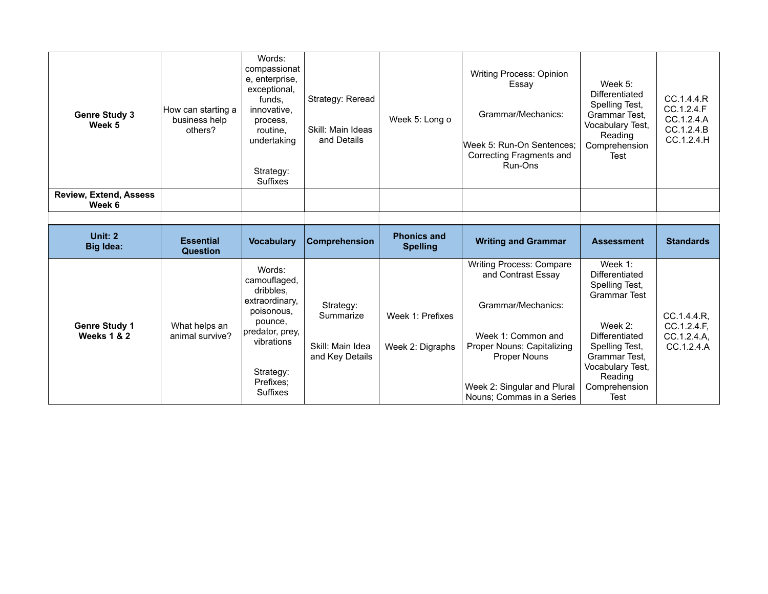| <b>Genre Study 3</b><br>Week 5          | How can starting a<br>business help<br>others? | Words:<br>compassionat<br>e, enterprise,<br>exceptional,<br>funds.<br>innovative,<br>process,<br>routine.<br>undertaking<br>Strategy:<br>Suffixes | Strategy: Reread<br>Skill: Main Ideas<br>and Details | Week 5: Long o | <b>Writing Process: Opinion</b><br>Essay<br>Grammar/Mechanics:<br>lWeek 5: Run-On Sentences:<br>Correcting Fragments and<br>Run-Ons | Week 5:<br>Differentiated<br>Spelling Test,<br>Grammar Test.<br>Vocabulary Test,<br>Reading<br>Comprehension<br>Test | CC.1.4.4.R<br>CC.1.2.4.F<br>CC.1.2.4.A<br>CC.1.2.4.B<br>CC.1.2.4.H |
|-----------------------------------------|------------------------------------------------|---------------------------------------------------------------------------------------------------------------------------------------------------|------------------------------------------------------|----------------|-------------------------------------------------------------------------------------------------------------------------------------|----------------------------------------------------------------------------------------------------------------------|--------------------------------------------------------------------|
| <b>Review, Extend, Assess</b><br>Week 6 |                                                |                                                                                                                                                   |                                                      |                |                                                                                                                                     |                                                                                                                      |                                                                    |

| Unit: 2<br><b>Big Idea:</b>         | <b>Essential</b><br><b>Question</b> | <b>Vocabulary</b>                                                                                                                                     | <b>Comprehension</b>                                          | <b>Phonics and</b><br><b>Spelling</b> | <b>Writing and Grammar</b>                                                                                                                                                                                  | <b>Assessment</b>                                                                                                                                                                                | <b>Standards</b>                                        |
|-------------------------------------|-------------------------------------|-------------------------------------------------------------------------------------------------------------------------------------------------------|---------------------------------------------------------------|---------------------------------------|-------------------------------------------------------------------------------------------------------------------------------------------------------------------------------------------------------------|--------------------------------------------------------------------------------------------------------------------------------------------------------------------------------------------------|---------------------------------------------------------|
| <b>Genre Study 1</b><br>Weeks 1 & 2 | What helps an<br>animal survive?    | Words:<br>camouflaged,<br>dribbles.<br>extraordinary,<br>poisonous,<br>pounce,<br>predator, prey,<br>vibrations<br>Strategy:<br>Prefixes:<br>Suffixes | Strategy:<br>Summarize<br>Skill: Main Idea<br>and Key Details | Week 1: Prefixes<br>Week 2: Digraphs  | <b>Writing Process: Compare</b><br>and Contrast Essay<br>Grammar/Mechanics:<br>Week 1: Common and<br>Proper Nouns; Capitalizing<br>Proper Nouns<br>Week 2: Singular and Plural<br>Nouns; Commas in a Series | Week $1$ :<br>Differentiated<br>Spelling Test,<br><b>Grammar Test</b><br>Week $2$ :<br>Differentiated<br>Spelling Test,<br>Grammar Test.<br>Vocabulary Test,<br>Reading<br>Comprehension<br>Test | CC.1.4.4.R,<br>CC.1.2.4.F.<br>CC.1.2.4.A.<br>CC.1.2.4.A |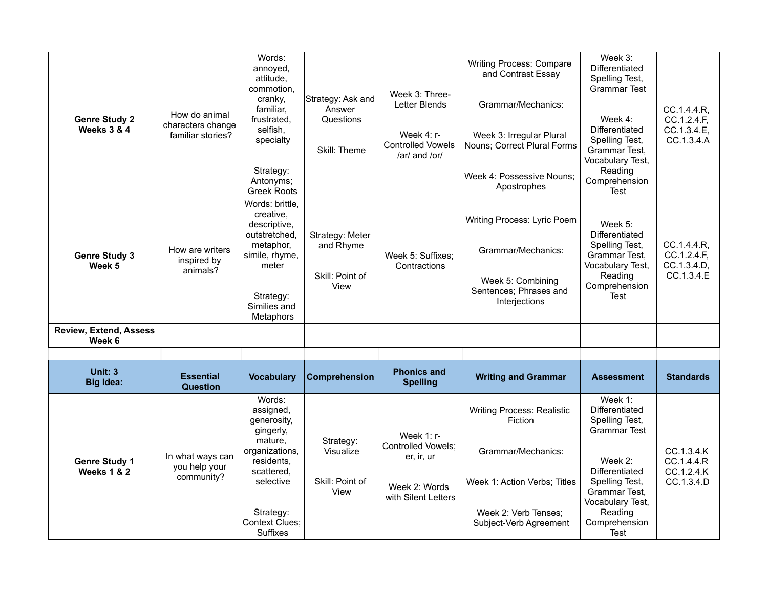| <b>Genre Study 2</b><br>Weeks 3 & 4            | How do animal<br>characters change<br>familiar stories? | Words:<br>annoyed,<br>attitude.<br>commotion,<br>cranky,<br>familiar,<br>frustrated,<br>selfish,<br>specialty<br>Strategy:<br>Antonyms;<br><b>Greek Roots</b>                  | Strategy: Ask and<br>Answer<br>Questions<br>Skill: Theme | Week 3: Three-<br>Letter Blends<br>Week $4: r-$<br><b>Controlled Vowels</b><br>/ar/ and /or/ | Writing Process: Compare<br>and Contrast Essay<br>Grammar/Mechanics:<br>Week 3: Irregular Plural<br>Nouns; Correct Plural Forms<br>Week 4: Possessive Nouns;<br>Apostrophes | Week 3:<br>Differentiated<br>Spelling Test,<br><b>Grammar Test</b><br>Week $4$ :<br>Differentiated<br>Spelling Test,<br>Grammar Test,<br>Vocabulary Test,<br>Reading<br>Comprehension<br><b>Test</b> | CC.1.4.4.R,<br>CC.1.2.4.F,<br>CC.1.3.4.E.<br>CC.1.3.4.A |
|------------------------------------------------|---------------------------------------------------------|--------------------------------------------------------------------------------------------------------------------------------------------------------------------------------|----------------------------------------------------------|----------------------------------------------------------------------------------------------|-----------------------------------------------------------------------------------------------------------------------------------------------------------------------------|------------------------------------------------------------------------------------------------------------------------------------------------------------------------------------------------------|---------------------------------------------------------|
| <b>Genre Study 3</b><br>Week 5                 | How are writers<br>inspired by<br>animals?              | Words: brittle,<br>creative.<br>descriptive,<br>outstretched.<br>metaphor,<br>simile, rhyme,<br>meter<br>Strategy:<br>Similies and<br>Metaphors                                | Strategy: Meter<br>and Rhyme<br>Skill: Point of<br>View  | Week 5: Suffixes;<br>Contractions                                                            | Writing Process: Lyric Poem<br>Grammar/Mechanics:<br>Week 5: Combining<br>Sentences; Phrases and<br>Interjections                                                           | Week $5$ :<br>Differentiated<br>Spelling Test,<br>Grammar Test,<br>Vocabulary Test,<br>Reading<br>Comprehension<br><b>Test</b>                                                                       | CC.1.4.4.R,<br>CC.1.2.4.F,<br>CC.1.3.4.D,<br>CC.1.3.4.E |
| <b>Review, Extend, Assess</b><br>Week 6        |                                                         |                                                                                                                                                                                |                                                          |                                                                                              |                                                                                                                                                                             |                                                                                                                                                                                                      |                                                         |
|                                                |                                                         |                                                                                                                                                                                |                                                          |                                                                                              |                                                                                                                                                                             |                                                                                                                                                                                                      |                                                         |
| <b>Unit: 3</b><br><b>Big Idea:</b>             | <b>Essential</b><br><b>Question</b>                     | <b>Vocabulary</b>                                                                                                                                                              | <b>Comprehension</b>                                     | <b>Phonics and</b><br><b>Spelling</b>                                                        | <b>Writing and Grammar</b>                                                                                                                                                  | <b>Assessment</b>                                                                                                                                                                                    | <b>Standards</b>                                        |
| <b>Genre Study 1</b><br><b>Weeks 1 &amp; 2</b> | In what ways can<br>you help your<br>community?         | Words:<br>assigned,<br>generosity,<br>gingerly,<br>mature,<br>organizations,<br>residents,<br>scattered,<br>selective<br>Strategy:<br><b>Context Clues:</b><br><b>Suffixes</b> | Strategy:<br>Visualize<br>Skill: Point of<br>View        | Week $1: r -$<br>Controlled Vowels:<br>er, ir, ur<br>Week 2: Words<br>with Silent Letters    | <b>Writing Process: Realistic</b><br>Fiction<br>Grammar/Mechanics:<br>Week 1: Action Verbs; Titles<br>Week 2: Verb Tenses:<br>Subject-Verb Agreement                        | Week 1:<br>Differentiated<br>Spelling Test,<br><b>Grammar Test</b><br>Week $2$ :<br>Differentiated<br>Spelling Test,<br>Grammar Test.<br>Vocabulary Test,<br>Reading<br>Comprehension<br>Test        | CC.1.3.4.K<br>CC.1.4.4.R<br>CC.1.2.4.K<br>CC.1.3.4.D    |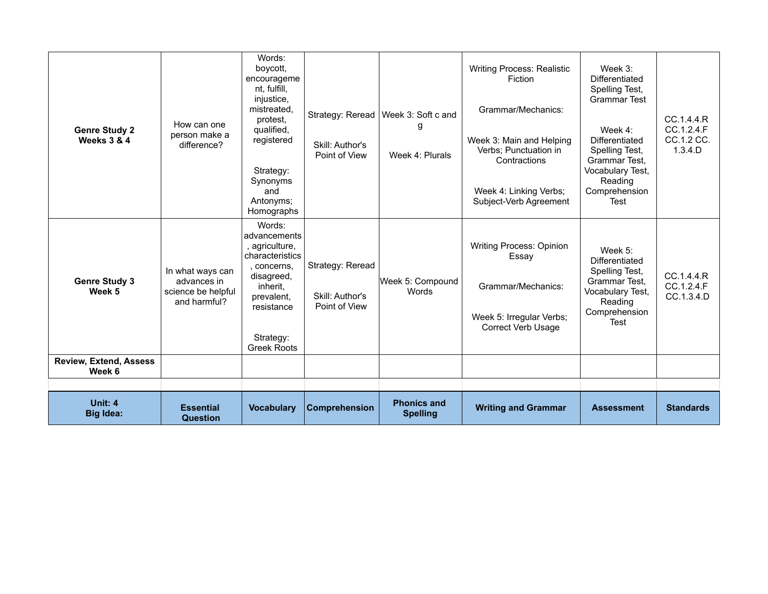| <b>Genre Study 2</b><br><b>Weeks 3 &amp; 4</b> | How can one<br>person make a<br>difference?                           | Words:<br>boycott.<br>encourageme<br>nt, fulfill,<br>injustice,<br>mistreated.<br>protest.<br>qualified,<br>registered<br>Strategy:<br>Synonyms<br>and<br>Antonyms;<br>Homographs | Strategy: Reread  <br>Skill: Author's<br>Point of View | Week 3: Soft c and<br>g<br>Week 4: Plurals | <b>Writing Process: Realistic</b><br>Fiction<br>Grammar/Mechanics:<br>Week 3: Main and Helping<br>Verbs; Punctuation in<br>Contractions<br>Week 4: Linking Verbs;<br>Subject-Verb Agreement | Week 3:<br>Differentiated<br>Spelling Test,<br><b>Grammar Test</b><br>Week 4:<br>Differentiated<br>Spelling Test,<br>Grammar Test.<br>Vocabulary Test,<br>Reading<br>Comprehension<br>Test | CC.1.4.4.R<br>CC.1.2.4.F<br>CC.1.2 CC.<br>1.3.4.D |
|------------------------------------------------|-----------------------------------------------------------------------|-----------------------------------------------------------------------------------------------------------------------------------------------------------------------------------|--------------------------------------------------------|--------------------------------------------|---------------------------------------------------------------------------------------------------------------------------------------------------------------------------------------------|--------------------------------------------------------------------------------------------------------------------------------------------------------------------------------------------|---------------------------------------------------|
| <b>Genre Study 3</b><br>Week 5                 | In what ways can<br>advances in<br>science be helpful<br>and harmful? | Words:<br>advancements<br>agriculture,<br>characteristics<br>, concerns,<br>disagreed,<br>inherit,<br>prevalent,<br>resistance<br>Strategy:<br><b>Greek Roots</b>                 | Strategy: Reread<br>Skill: Author's<br>Point of View   | Week 5: Compound<br><b>Words</b>           | <b>Writing Process: Opinion</b><br>Essay<br>Grammar/Mechanics:<br>Week 5: Irregular Verbs;<br><b>Correct Verb Usage</b>                                                                     | Week 5:<br>Differentiated<br>Spelling Test,<br>Grammar Test,<br>Vocabulary Test,<br>Reading<br>Comprehension<br>Test                                                                       | CC.1.4.4.R<br>CC.1.2.4.F<br>CC.1.3.4.D            |
| <b>Review, Extend, Assess</b><br>Week 6        |                                                                       |                                                                                                                                                                                   |                                                        |                                            |                                                                                                                                                                                             |                                                                                                                                                                                            |                                                   |
|                                                |                                                                       |                                                                                                                                                                                   |                                                        |                                            |                                                                                                                                                                                             |                                                                                                                                                                                            |                                                   |
| Unit: 4<br><b>Big Idea:</b>                    | <b>Essential</b><br><b>Question</b>                                   | <b>Vocabulary</b>                                                                                                                                                                 | <b>Comprehension</b>                                   | <b>Phonics and</b><br><b>Spelling</b>      | <b>Writing and Grammar</b>                                                                                                                                                                  | <b>Assessment</b>                                                                                                                                                                          | <b>Standards</b>                                  |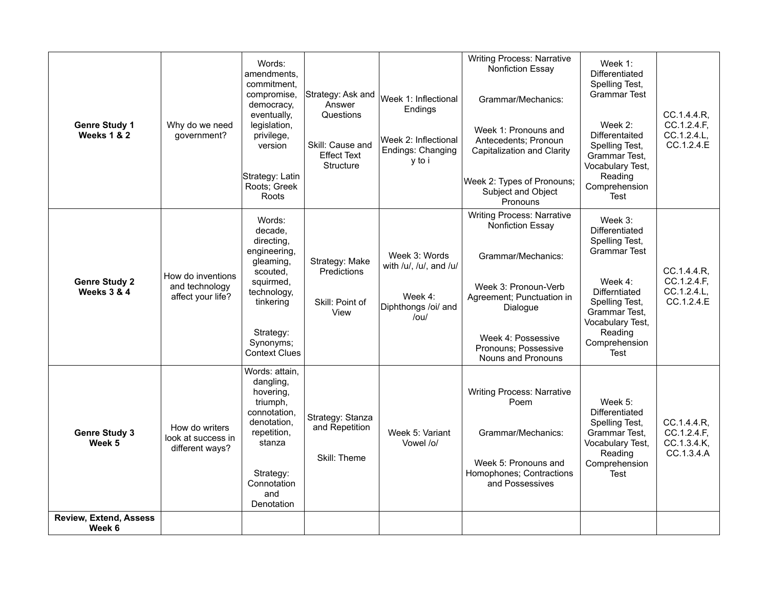| <b>Genre Study 1</b><br>Weeks 1 & 2            | Why do we need<br>government?                            | Words:<br>amendments.<br>commitment.<br>compromise,<br>democracy,<br>eventually,<br>legislation,<br>privilege,<br>version<br>Strategy: Latin<br>Roots; Greek<br>Roots | Strategy: Ask and<br>Answer<br>Questions<br>Skill: Cause and<br><b>Effect Text</b><br>Structure | Week 1: Inflectional<br>Endings<br>Week 2: Inflectional<br>Endings: Changing<br>y to i  | <b>Writing Process: Narrative</b><br><b>Nonfiction Essay</b><br>Grammar/Mechanics:<br>Week 1: Pronouns and<br>Antecedents; Pronoun<br>Capitalization and Clarity<br>Week 2: Types of Pronouns;<br>Subject and Object<br>Pronouns | Week $1$ :<br>Differentiated<br>Spelling Test,<br><b>Grammar Test</b><br>Week $2$ :<br>Differentaited<br>Spelling Test,<br>Grammar Test,<br>Vocabulary Test,<br>Reading<br>Comprehension<br>Test | CC.1.4.4.R,<br>CC.1.2.4.F.<br>CC.1.2.4.L,<br>CC.1.2.4.E |
|------------------------------------------------|----------------------------------------------------------|-----------------------------------------------------------------------------------------------------------------------------------------------------------------------|-------------------------------------------------------------------------------------------------|-----------------------------------------------------------------------------------------|----------------------------------------------------------------------------------------------------------------------------------------------------------------------------------------------------------------------------------|--------------------------------------------------------------------------------------------------------------------------------------------------------------------------------------------------|---------------------------------------------------------|
| <b>Genre Study 2</b><br><b>Weeks 3 &amp; 4</b> | How do inventions<br>and technology<br>affect your life? | Words:<br>decade.<br>directing.<br>engineering,<br>gleaming,<br>scouted,<br>squirmed,<br>technology,<br>tinkering<br>Strategy:<br>Synonyms;<br><b>Context Clues</b>   | Strategy: Make<br>Predictions<br>Skill: Point of<br>View                                        | Week 3: Words<br>with /u/, /u/, and /u/<br>Week 4:<br>Diphthongs /oi/ and<br>$/$ ou $/$ | <b>Writing Process: Narrative</b><br><b>Nonfiction Essay</b><br>Grammar/Mechanics:<br>Week 3: Pronoun-Verb<br>Agreement; Punctuation in<br>Dialogue<br>Week 4: Possessive<br>Pronouns; Possessive<br>Nouns and Pronouns          | Week 3:<br>Differentiated<br>Spelling Test,<br><b>Grammar Test</b><br>Week 4:<br>Differntiated<br>Spelling Test,<br>Grammar Test,<br>Vocabulary Test,<br>Reading<br>Comprehension<br>Test        | CC.1.4.4.R,<br>CC.1.2.4.F,<br>CC.1.2.4.L,<br>CC.1.2.4.E |
| <b>Genre Study 3</b><br>Week 5                 | How do writers<br>look at success in<br>different ways?  | Words: attain,<br>dangling,<br>hovering.<br>triumph,<br>connotation,<br>denotation,<br>repetition,<br>stanza<br>Strategy:<br>Connotation<br>and<br>Denotation         | Strategy: Stanza<br>and Repetition<br>Skill: Theme                                              | Week 5: Variant<br>Vowel /o/                                                            | <b>Writing Process: Narrative</b><br>Poem<br>Grammar/Mechanics:<br>Week 5: Pronouns and<br>Homophones; Contractions<br>and Possessives                                                                                           | Week 5:<br>Differentiated<br>Spelling Test,<br>Grammar Test,<br>Vocabulary Test,<br>Reading<br>Comprehension<br>Test                                                                             | CC.1.4.4.R,<br>CC.1.2.4.F,<br>CC.1.3.4.K,<br>CC.1.3.4.A |
| <b>Review, Extend, Assess</b><br>Week 6        |                                                          |                                                                                                                                                                       |                                                                                                 |                                                                                         |                                                                                                                                                                                                                                  |                                                                                                                                                                                                  |                                                         |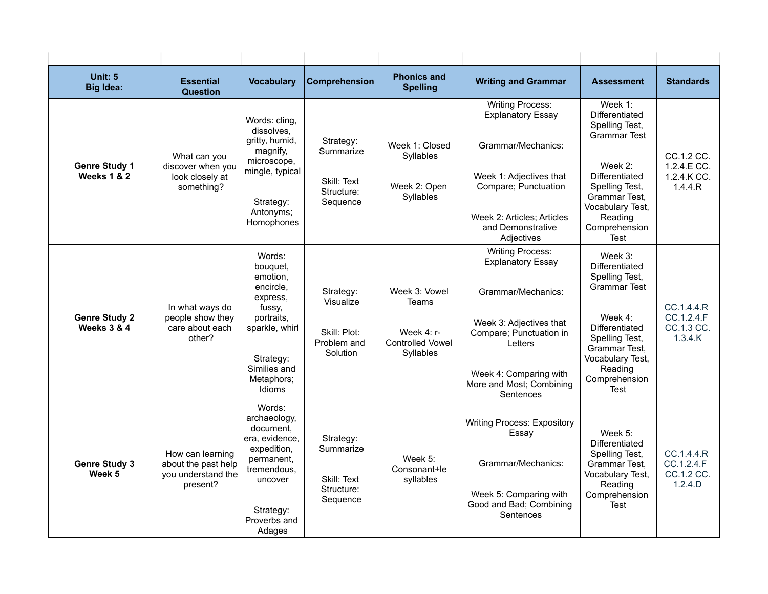| Unit: 5<br><b>Big Idea:</b>                    | <b>Essential</b><br><b>Question</b>                                       | <b>Vocabulary</b>                                                                                                                                      | <b>Comprehension</b>                                              | <b>Phonics and</b><br><b>Spelling</b>                                        | <b>Writing and Grammar</b>                                                                                                                                                                                    | <b>Assessment</b>                                                                                                                                                                             | <b>Standards</b>                                    |
|------------------------------------------------|---------------------------------------------------------------------------|--------------------------------------------------------------------------------------------------------------------------------------------------------|-------------------------------------------------------------------|------------------------------------------------------------------------------|---------------------------------------------------------------------------------------------------------------------------------------------------------------------------------------------------------------|-----------------------------------------------------------------------------------------------------------------------------------------------------------------------------------------------|-----------------------------------------------------|
| <b>Genre Study 1</b><br><b>Weeks 1 &amp; 2</b> | What can you<br>discover when you<br>look closely at<br>something?        | Words: cling,<br>dissolves.<br>gritty, humid,<br>magnify,<br>microscope,<br>mingle, typical<br>Strategy:<br>Antonyms;<br>Homophones                    | Strategy:<br>Summarize<br>Skill: Text<br>Structure:<br>Sequence   | Week 1: Closed<br>Syllables<br>Week 2: Open<br>Syllables                     | <b>Writing Process:</b><br><b>Explanatory Essay</b><br>Grammar/Mechanics:<br>Week 1: Adjectives that<br>Compare; Punctuation<br>Week 2: Articles: Articles<br>and Demonstrative<br>Adjectives                 | Week $1$ :<br>Differentiated<br>Spelling Test,<br><b>Grammar Test</b><br>Week 2:<br>Differentiated<br>Spelling Test,<br>Grammar Test.<br>Vocabulary Test,<br>Reading<br>Comprehension<br>Test | CC.1.2 CC.<br>1.2.4.E CC.<br>1.2.4.K CC.<br>1.4.4.R |
| <b>Genre Study 2</b><br><b>Weeks 3 &amp; 4</b> | In what ways do<br>people show they<br>care about each<br>other?          | Words:<br>bouguet.<br>emotion,<br>encircle,<br>express,<br>fussy.<br>portraits.<br>sparkle, whirl<br>Strategy:<br>Similies and<br>Metaphors;<br>Idioms | Strategy:<br>Visualize<br>Skill: Plot:<br>Problem and<br>Solution | Week 3: Vowel<br>Teams<br>Week 4: r-<br><b>Controlled Vowel</b><br>Syllables | <b>Writing Process:</b><br><b>Explanatory Essay</b><br>Grammar/Mechanics:<br>Week 3: Adjectives that<br>Compare; Punctuation in<br>Letters<br>Week 4: Comparing with<br>More and Most; Combining<br>Sentences | Week 3:<br>Differentiated<br>Spelling Test,<br><b>Grammar Test</b><br>Week $4$ :<br>Differentiated<br>Spelling Test,<br>Grammar Test.<br>Vocabulary Test,<br>Reading<br>Comprehension<br>Test | CC.1.4.4.R<br>CC.1.2.4.F<br>CC.1.3 CC.<br>1.3.4.K   |
| <b>Genre Study 3</b><br>Week 5                 | How can learning<br>about the past help<br>vou understand the<br>present? | Words:<br>archaeology,<br>document.<br>era, evidence,<br>expedition,<br>permanent,<br>tremendous,<br>uncover<br>Strategy:<br>Proverbs and<br>Adages    | Strategy:<br>Summarize<br>Skill: Text<br>Structure:<br>Sequence   | Week 5:<br>Consonant+le<br>syllables                                         | <b>Writing Process: Expository</b><br>Essay<br>Grammar/Mechanics:<br>Week 5: Comparing with<br>Good and Bad; Combining<br>Sentences                                                                           | Week $5$ :<br>Differentiated<br>Spelling Test,<br>Grammar Test.<br>Vocabulary Test,<br>Reading<br>Comprehension<br>Test                                                                       | CC.1.4.4.R<br>CC.1.2.4.F<br>CC.1.2 CC.<br>1.2.4.D   |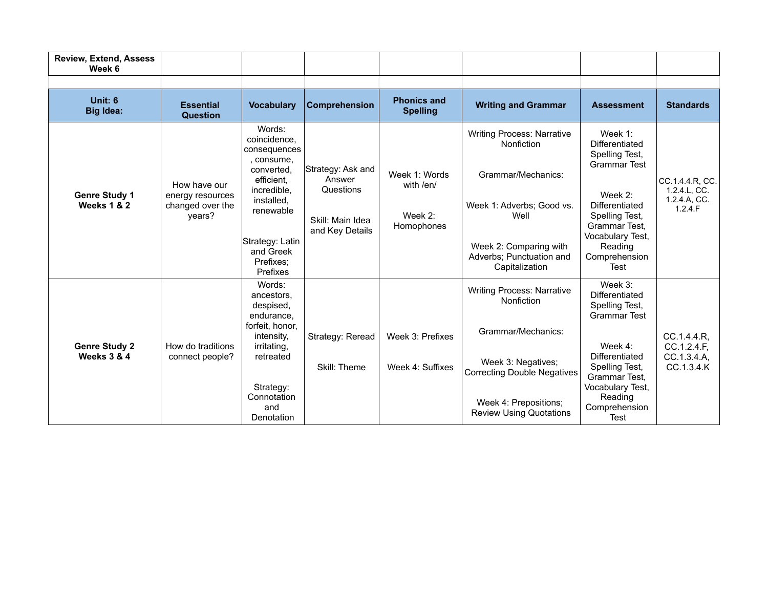| <b>Review, Extend, Assess</b><br>Week 6        |                                                                |                                                                                                                                                                                   |                                                                                 |                                                     |                                                                                                                                                                                              |                                                                                                                                                                                            |                                                            |
|------------------------------------------------|----------------------------------------------------------------|-----------------------------------------------------------------------------------------------------------------------------------------------------------------------------------|---------------------------------------------------------------------------------|-----------------------------------------------------|----------------------------------------------------------------------------------------------------------------------------------------------------------------------------------------------|--------------------------------------------------------------------------------------------------------------------------------------------------------------------------------------------|------------------------------------------------------------|
|                                                |                                                                |                                                                                                                                                                                   |                                                                                 |                                                     |                                                                                                                                                                                              |                                                                                                                                                                                            |                                                            |
| <b>Unit: 6</b><br><b>Big Idea:</b>             | <b>Essential</b><br><b>Question</b>                            | <b>Vocabulary</b>                                                                                                                                                                 | Comprehension                                                                   | <b>Phonics and</b><br><b>Spelling</b>               | <b>Writing and Grammar</b>                                                                                                                                                                   | <b>Assessment</b>                                                                                                                                                                          | <b>Standards</b>                                           |
| <b>Genre Study 1</b><br><b>Weeks 1 &amp; 2</b> | How have our<br>energy resources<br>changed over the<br>years? | Words:<br>coincidence.<br>consequences<br>consume,<br>converted.<br>efficient.<br>incredible,<br>installed,<br>renewable<br>Strategy: Latin<br>and Greek<br>Prefixes:<br>Prefixes | Strategy: Ask and<br>Answer<br>Questions<br>Skill: Main Idea<br>and Key Details | Week 1: Words<br>with /en/<br>Week 2:<br>Homophones | <b>Writing Process: Narrative</b><br>Nonfiction<br>Grammar/Mechanics:<br>Week 1: Adverbs; Good vs.<br>Well<br>Week 2: Comparing with<br>Adverbs; Punctuation and<br>Capitalization           | Week 1:<br>Differentiated<br>Spelling Test,<br><b>Grammar Test</b><br>Week 2:<br>Differentiated<br>Spelling Test,<br>Grammar Test.<br>Vocabulary Test,<br>Reading<br>Comprehension<br>Test | CC.1.4.4.R, CC.<br>1.2.4.L, CC.<br>1.2.4.A, CC.<br>1.2.4.F |
| <b>Genre Study 2</b><br><b>Weeks 3 &amp; 4</b> | How do traditions<br>connect people?                           | Words:<br>ancestors.<br>despised,<br>endurance,<br>forfeit, honor,<br>intensity.<br>irritating,<br>retreated<br>Strategy:<br>Connotation<br>and<br>Denotation                     | Strategy: Reread<br>Skill: Theme                                                | Week 3: Prefixes<br>Week 4: Suffixes                | <b>Writing Process: Narrative</b><br>Nonfiction<br>Grammar/Mechanics:<br>Week 3: Negatives;<br><b>Correcting Double Negatives</b><br>Week 4: Prepositions;<br><b>Review Using Quotations</b> | Week 3:<br>Differentiated<br>Spelling Test,<br><b>Grammar Test</b><br>Week 4:<br>Differentiated<br>Spelling Test,<br>Grammar Test.<br>Vocabulary Test,<br>Reading<br>Comprehension<br>Test | CC.1.4.4.R.<br>CC.1.2.4.F.<br>CC.1.3.4.A.<br>CC.1.3.4.K    |